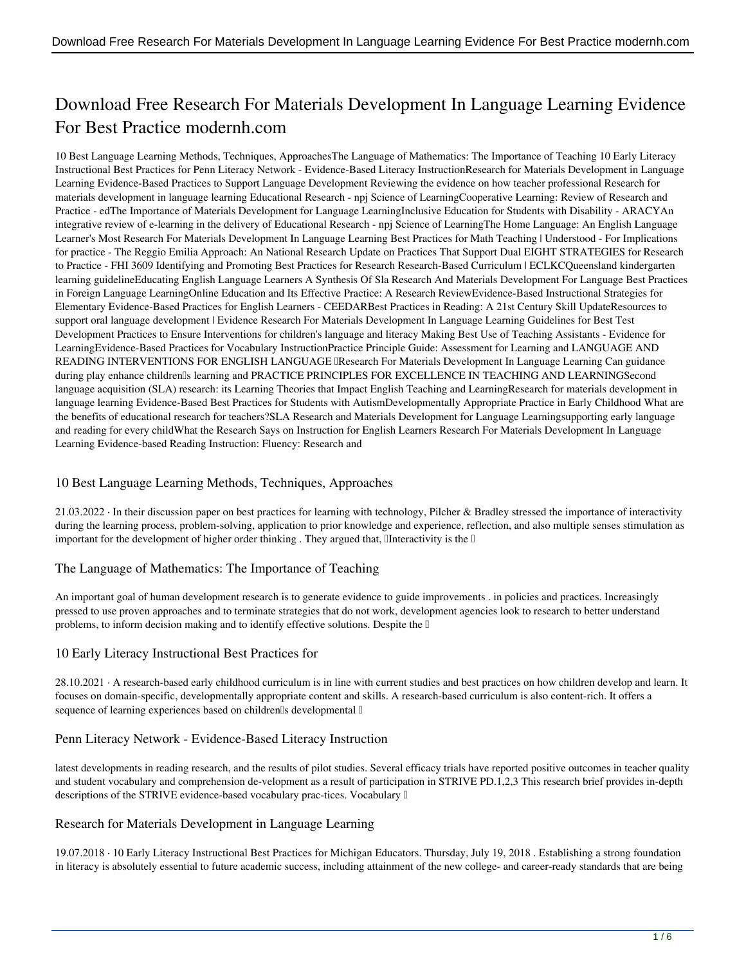# **Download Free Research For Materials Development In Language Learning Evidence For Best Practice modernh.com**

10 Best Language Learning Methods, Techniques, ApproachesThe Language of Mathematics: The Importance of Teaching 10 Early Literacy Instructional Best Practices for Penn Literacy Network - Evidence-Based Literacy InstructionResearch for Materials Development in Language Learning Evidence-Based Practices to Support Language Development Reviewing the evidence on how teacher professional Research for materials development in language learning Educational Research - npj Science of LearningCooperative Learning: Review of Research and Practice - edThe Importance of Materials Development for Language LearningInclusive Education for Students with Disability - ARACYAn integrative review of e-learning in the delivery of Educational Research - npj Science of LearningThe Home Language: An English Language Learner's Most Research For Materials Development In Language Learning Best Practices for Math Teaching | Understood - For Implications for practice - The Reggio Emilia Approach: An National Research Update on Practices That Support Dual EIGHT STRATEGIES for Research to Practice - FHI 3609 Identifying and Promoting Best Practices for Research Research-Based Curriculum | ECLKCQueensland kindergarten learning guidelineEducating English Language Learners A Synthesis Of Sla Research And Materials Development For Language Best Practices in Foreign Language LearningOnline Education and Its Effective Practice: A Research ReviewEvidence-Based Instructional Strategies for Elementary Evidence-Based Practices for English Learners - CEEDARBest Practices in Reading: A 21st Century Skill UpdateResources to support oral language development | Evidence Research For Materials Development In Language Learning Guidelines for Best Test Development Practices to Ensure Interventions for children's language and literacy Making Best Use of Teaching Assistants - Evidence for LearningEvidence-Based Practices for Vocabulary InstructionPractice Principle Guide: Assessment for Learning and LANGUAGE AND READING INTERVENTIONS FOR ENGLISH LANGUAGE **IResearch For Materials Development In Language Learning Can guidance** during play enhance children's learning and PRACTICE PRINCIPLES FOR EXCELLENCE IN TEACHING AND LEARNINGSecond language acquisition (SLA) research: its Learning Theories that Impact English Teaching and LearningResearch for materials development in language learning Evidence-Based Best Practices for Students with AutismDevelopmentally Appropriate Practice in Early Childhood What are the benefits of educational research for teachers?SLA Research and Materials Development for Language Learningsupporting early language and reading for every childWhat the Research Says on Instruction for English Learners Research For Materials Development In Language Learning Evidence-based Reading Instruction: Fluency: Research and

# **10 Best Language Learning Methods, Techniques, Approaches**

21.03.2022 · In their discussion paper on best practices for learning with technology, Pilcher & Bradley stressed the importance of interactivity during the learning process, problem-solving, application to prior knowledge and experience, reflection, and also multiple senses stimulation as important for the development of higher order thinking . They argued that,  $\mathbb{I}$  Interactivity is the  $\mathbb{I}$ 

# **The Language of Mathematics: The Importance of Teaching**

An important goal of human development research is to generate evidence to guide improvements . in policies and practices. Increasingly pressed to use proven approaches and to terminate strategies that do not work, development agencies look to research to better understand problems, to inform decision making and to identify effective solutions. Despite the  $\mathbb I$ 

# **10 Early Literacy Instructional Best Practices for**

28.10.2021 · A research-based early childhood curriculum is in line with current studies and best practices on how children develop and learn. It focuses on domain-specific, developmentally appropriate content and skills. A research-based curriculum is also content-rich. It offers a sequence of learning experiences based on childrenlls developmental  $\mathbb I$ 

# **Penn Literacy Network - Evidence-Based Literacy Instruction**

latest developments in reading research, and the results of pilot studies. Several efficacy trials have reported positive outcomes in teacher quality and student vocabulary and comprehension de-velopment as a result of participation in STRIVE PD.1,2,3 This research brief provides in-depth descriptions of the STRIVE evidence-based vocabulary prac-tices. Vocabulary  $\mathbb I$ 

# **Research for Materials Development in Language Learning**

19.07.2018 · 10 Early Literacy Instructional Best Practices for Michigan Educators. Thursday, July 19, 2018 . Establishing a strong foundation in literacy is absolutely essential to future academic success, including attainment of the new college- and career-ready standards that are being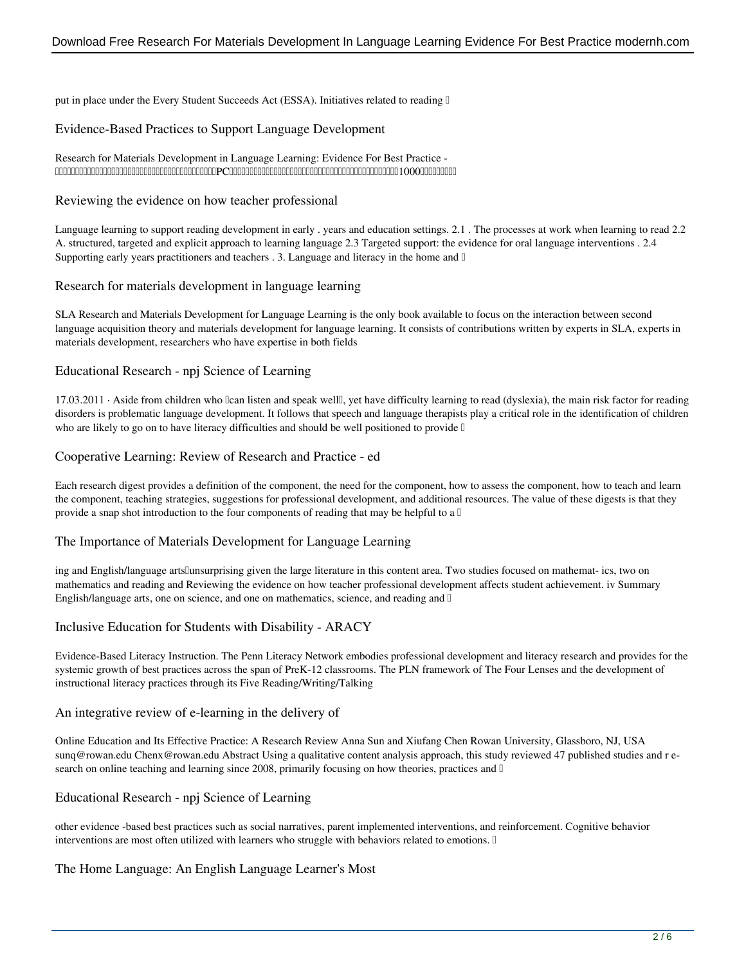put in place under the Every Student Succeeds Act (ESSA). Initiatives related to reading  $\mathbb D$ 

## **Evidence-Based Practices to Support Language Development**

#### Research for Materials Development in Language Learning: Evidence For Best Practice - インターネットデパート。送料無料商品多数。家電、おもちゃ、キッチン用品、ゲーム、PCソフト、洋書、スポーツ・アウトドア用品、時計、ベビー、ファッション、シューズ、食品等1000万点以上の品揃え。

## **Reviewing the evidence on how teacher professional**

Language learning to support reading development in early . years and education settings. 2.1 . The processes at work when learning to read 2.2 A. structured, targeted and explicit approach to learning language 2.3 Targeted support: the evidence for oral language interventions . 2.4 Supporting early years practitioners and teachers  $\cdot$  3. Language and literacy in the home and  $\mathbb{I}$ 

#### **Research for materials development in language learning**

SLA Research and Materials Development for Language Learning is the only book available to focus on the interaction between second language acquisition theory and materials development for language learning. It consists of contributions written by experts in SLA, experts in materials development, researchers who have expertise in both fields

## **Educational Research - npj Science of Learning**

17.03.2011 · Aside from children who *lcan listen and speak well*l, yet have difficulty learning to read (dyslexia), the main risk factor for reading disorders is problematic language development. It follows that speech and language therapists play a critical role in the identification of children who are likely to go on to have literacy difficulties and should be well positioned to provide  $\mathbb I$ 

#### **Cooperative Learning: Review of Research and Practice - ed**

Each research digest provides a definition of the component, the need for the component, how to assess the component, how to teach and learn the component, teaching strategies, suggestions for professional development, and additional resources. The value of these digests is that they provide a snap shot introduction to the four components of reading that may be helpful to a  $\mathbb I$ 

#### **The Importance of Materials Development for Language Learning**

ing and English/language artsllunsurprising given the large literature in this content area. Two studies focused on mathemat- ics, two on mathematics and reading and Reviewing the evidence on how teacher professional development affects student achievement. iv Summary English/language arts, one on science, and one on mathematics, science, and reading and  $\mathbb I$ 

## **Inclusive Education for Students with Disability - ARACY**

Evidence-Based Literacy Instruction. The Penn Literacy Network embodies professional development and literacy research and provides for the systemic growth of best practices across the span of PreK-12 classrooms. The PLN framework of The Four Lenses and the development of instructional literacy practices through its Five Reading/Writing/Talking

#### **An integrative review of e-learning in the delivery of**

Online Education and Its Effective Practice: A Research Review Anna Sun and Xiufang Chen Rowan University, Glassboro, NJ, USA sunq@rowan.edu Chenx@rowan.edu Abstract Using a qualitative content analysis approach, this study reviewed 47 published studies and r esearch on online teaching and learning since 2008, primarily focusing on how theories, practices and  $\mathbb{I}$ 

## **Educational Research - npj Science of Learning**

other evidence -based best practices such as social narratives, parent implemented interventions, and reinforcement. Cognitive behavior interventions are most often utilized with learners who struggle with behaviors related to emotions.  $\mathbb{D}$ 

## **The Home Language: An English Language Learner's Most**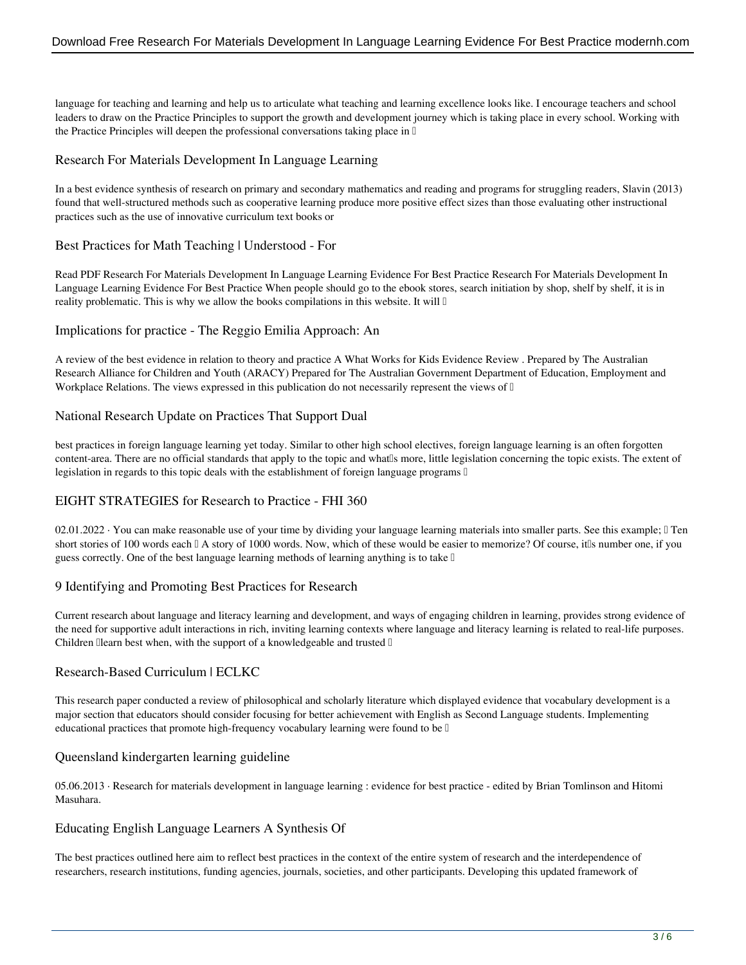language for teaching and learning and help us to articulate what teaching and learning excellence looks like. I encourage teachers and school leaders to draw on the Practice Principles to support the growth and development journey which is taking place in every school. Working with the Practice Principles will deepen the professional conversations taking place in  $\mathbb I$ 

## **Research For Materials Development In Language Learning**

In a best evidence synthesis of research on primary and secondary mathematics and reading and programs for struggling readers, Slavin (2013) found that well-structured methods such as cooperative learning produce more positive effect sizes than those evaluating other instructional practices such as the use of innovative curriculum text books or

## **Best Practices for Math Teaching | Understood - For**

Read PDF Research For Materials Development In Language Learning Evidence For Best Practice Research For Materials Development In Language Learning Evidence For Best Practice When people should go to the ebook stores, search initiation by shop, shelf by shelf, it is in reality problematic. This is why we allow the books compilations in this website. It will  $\mathbb I$ 

## **Implications for practice - The Reggio Emilia Approach: An**

A review of the best evidence in relation to theory and practice A What Works for Kids Evidence Review . Prepared by The Australian Research Alliance for Children and Youth (ARACY) Prepared for The Australian Government Department of Education, Employment and Workplace Relations. The views expressed in this publication do not necessarily represent the views of  $\mathbb{I}$ 

## **National Research Update on Practices That Support Dual**

best practices in foreign language learning yet today. Similar to other high school electives, foreign language learning is an often forgotten content-area. There are no official standards that apply to the topic and whatlls more, little legislation concerning the topic exists. The extent of legislation in regards to this topic deals with the establishment of foreign language programs  $\mathbb{I}$ 

## **EIGHT STRATEGIES for Research to Practice - FHI 360**

02.01.2022 · You can make reasonable use of your time by dividing your language learning materials into smaller parts. See this example; I Ten short stories of 100 words each  $\mathbb{I}$  A story of 1000 words. Now, which of these would be easier to memorize? Of course, it's number one, if you guess correctly. One of the best language learning methods of learning anything is to take  $\mathbb I$ 

# **9 Identifying and Promoting Best Practices for Research**

Current research about language and literacy learning and development, and ways of engaging children in learning, provides strong evidence of the need for supportive adult interactions in rich, inviting learning contexts where language and literacy learning is related to real-life purposes. Children  $\Box$  learn best when, with the support of a knowledgeable and trusted  $\Box$ 

## **Research-Based Curriculum | ECLKC**

This research paper conducted a review of philosophical and scholarly literature which displayed evidence that vocabulary development is a major section that educators should consider focusing for better achievement with English as Second Language students. Implementing educational practices that promote high-frequency vocabulary learning were found to be  $\mathbb I$ 

## **Queensland kindergarten learning guideline**

05.06.2013 · Research for materials development in language learning : evidence for best practice - edited by Brian Tomlinson and Hitomi Masuhara.

## **Educating English Language Learners A Synthesis Of**

The best practices outlined here aim to reflect best practices in the context of the entire system of research and the interdependence of researchers, research institutions, funding agencies, journals, societies, and other participants. Developing this updated framework of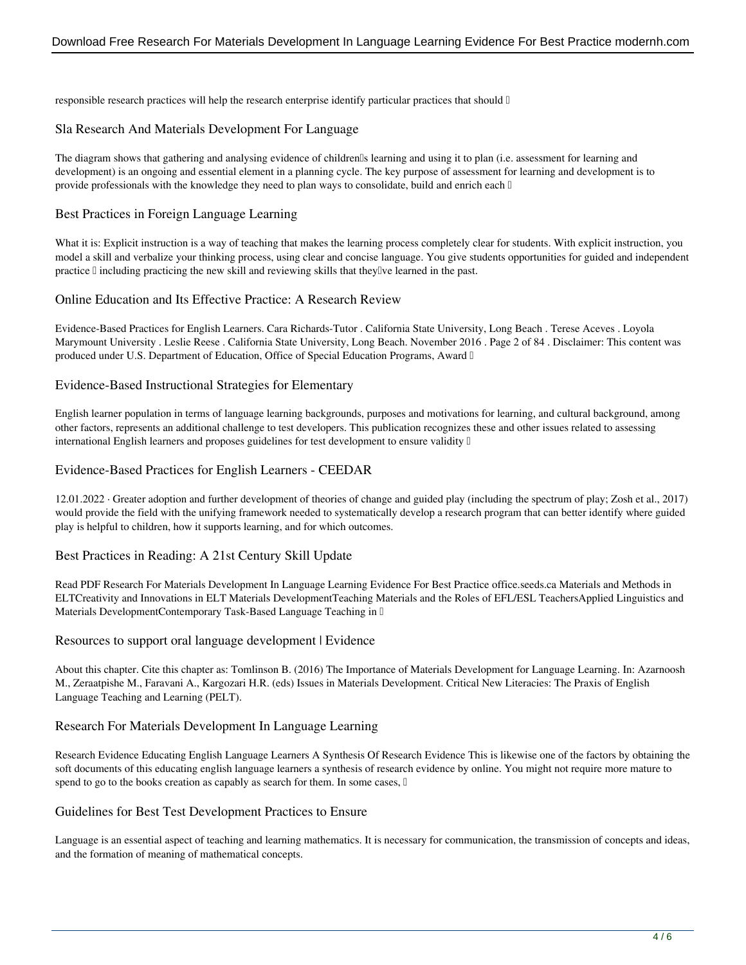responsible research practices will help the research enterprise identify particular practices that should  $\mathbb{I}$ 

### **Sla Research And Materials Development For Language**

The diagram shows that gathering and analysing evidence of children's learning and using it to plan (i.e. assessment for learning and development) is an ongoing and essential element in a planning cycle. The key purpose of assessment for learning and development is to provide professionals with the knowledge they need to plan ways to consolidate, build and enrich each  $\mathbb I$ 

## **Best Practices in Foreign Language Learning**

What it is: Explicit instruction is a way of teaching that makes the learning process completely clear for students. With explicit instruction, you model a skill and verbalize your thinking process, using clear and concise language. You give students opportunities for guided and independent practice  $\mathbb I$  including practicing the new skill and reviewing skills that they  $\mathbb I$  ve learned in the past.

#### **Online Education and Its Effective Practice: A Research Review**

Evidence-Based Practices for English Learners. Cara Richards-Tutor . California State University, Long Beach . Terese Aceves . Loyola Marymount University . Leslie Reese . California State University, Long Beach. November 2016 . Page 2 of 84 . Disclaimer: This content was produced under U.S. Department of Education, Office of Special Education Programs, Award I

#### **Evidence-Based Instructional Strategies for Elementary**

English learner population in terms of language learning backgrounds, purposes and motivations for learning, and cultural background, among other factors, represents an additional challenge to test developers. This publication recognizes these and other issues related to assessing international English learners and proposes guidelines for test development to ensure validity  $\mathbb I$ 

#### **Evidence-Based Practices for English Learners - CEEDAR**

12.01.2022 · Greater adoption and further development of theories of change and guided play (including the spectrum of play; Zosh et al., 2017) would provide the field with the unifying framework needed to systematically develop a research program that can better identify where guided play is helpful to children, how it supports learning, and for which outcomes.

## **Best Practices in Reading: A 21st Century Skill Update**

Read PDF Research For Materials Development In Language Learning Evidence For Best Practice office.seeds.ca Materials and Methods in ELTCreativity and Innovations in ELT Materials DevelopmentTeaching Materials and the Roles of EFL/ESL TeachersApplied Linguistics and Materials DevelopmentContemporary Task-Based Language Teaching in  $\mathbb I$ 

#### **Resources to support oral language development | Evidence**

About this chapter. Cite this chapter as: Tomlinson B. (2016) The Importance of Materials Development for Language Learning. In: Azarnoosh M., Zeraatpishe M., Faravani A., Kargozari H.R. (eds) Issues in Materials Development. Critical New Literacies: The Praxis of English Language Teaching and Learning (PELT).

#### **Research For Materials Development In Language Learning**

Research Evidence Educating English Language Learners A Synthesis Of Research Evidence This is likewise one of the factors by obtaining the soft documents of this educating english language learners a synthesis of research evidence by online. You might not require more mature to spend to go to the books creation as capably as search for them. In some cases,  $\mathbb I$ 

#### **Guidelines for Best Test Development Practices to Ensure**

Language is an essential aspect of teaching and learning mathematics. It is necessary for communication, the transmission of concepts and ideas, and the formation of meaning of mathematical concepts.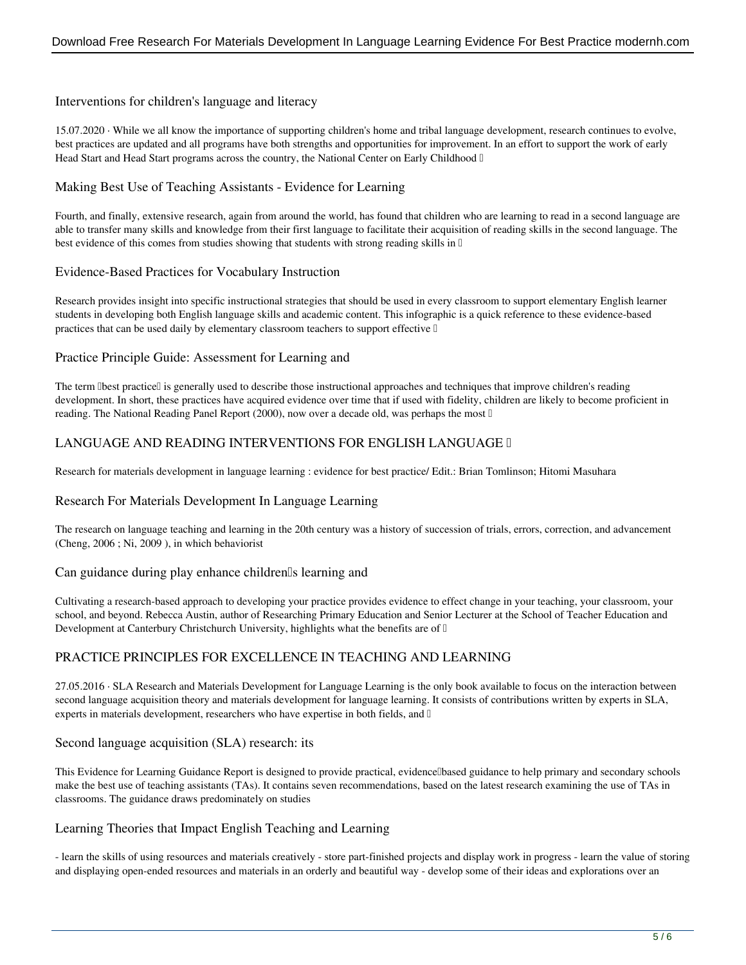## **Interventions for children's language and literacy**

15.07.2020 · While we all know the importance of supporting children's home and tribal language development, research continues to evolve, best practices are updated and all programs have both strengths and opportunities for improvement. In an effort to support the work of early Head Start and Head Start programs across the country, the National Center on Early Childhood  $\mathbb{I}$ 

## **Making Best Use of Teaching Assistants - Evidence for Learning**

Fourth, and finally, extensive research, again from around the world, has found that children who are learning to read in a second language are able to transfer many skills and knowledge from their first language to facilitate their acquisition of reading skills in the second language. The best evidence of this comes from studies showing that students with strong reading skills in  $\mathbb{I}$ 

## **Evidence-Based Practices for Vocabulary Instruction**

Research provides insight into specific instructional strategies that should be used in every classroom to support elementary English learner students in developing both English language skills and academic content. This infographic is a quick reference to these evidence-based practices that can be used daily by elementary classroom teachers to support effective  $\mathbb I$ 

## **Practice Principle Guide: Assessment for Learning and**

The term Ibest practiceI is generally used to describe those instructional approaches and techniques that improve children's reading development. In short, these practices have acquired evidence over time that if used with fidelity, children are likely to become proficient in reading. The National Reading Panel Report (2000), now over a decade old, was perhaps the most  $\mathbb I$ 

# **LANGUAGE AND READING INTERVENTIONS FOR ENGLISH LANGUAGE …**

Research for materials development in language learning : evidence for best practice/ Edit.: Brian Tomlinson; Hitomi Masuhara

## **Research For Materials Development In Language Learning**

The research on language teaching and learning in the 20th century was a history of succession of trials, errors, correction, and advancement (Cheng, 2006 ; Ni, 2009 ), in which behaviorist

## **Can guidance during play enhance children's learning and**

Cultivating a research-based approach to developing your practice provides evidence to effect change in your teaching, your classroom, your school, and beyond. Rebecca Austin, author of Researching Primary Education and Senior Lecturer at the School of Teacher Education and Development at Canterbury Christchurch University, highlights what the benefits are of  $\mathbb I$ 

# **PRACTICE PRINCIPLES FOR EXCELLENCE IN TEACHING AND LEARNING**

27.05.2016 · SLA Research and Materials Development for Language Learning is the only book available to focus on the interaction between second language acquisition theory and materials development for language learning. It consists of contributions written by experts in SLA, experts in materials development, researchers who have expertise in both fields, and  $\mathbb{I}$ 

## **Second language acquisition (SLA) research: its**

This Evidence for Learning Guidance Report is designed to provide practical, evidence abased guidance to help primary and secondary schools make the best use of teaching assistants (TAs). It contains seven recommendations, based on the latest research examining the use of TAs in classrooms. The guidance draws predominately on studies

## **Learning Theories that Impact English Teaching and Learning**

- learn the skills of using resources and materials creatively - store part-finished projects and display work in progress - learn the value of storing and displaying open-ended resources and materials in an orderly and beautiful way - develop some of their ideas and explorations over an